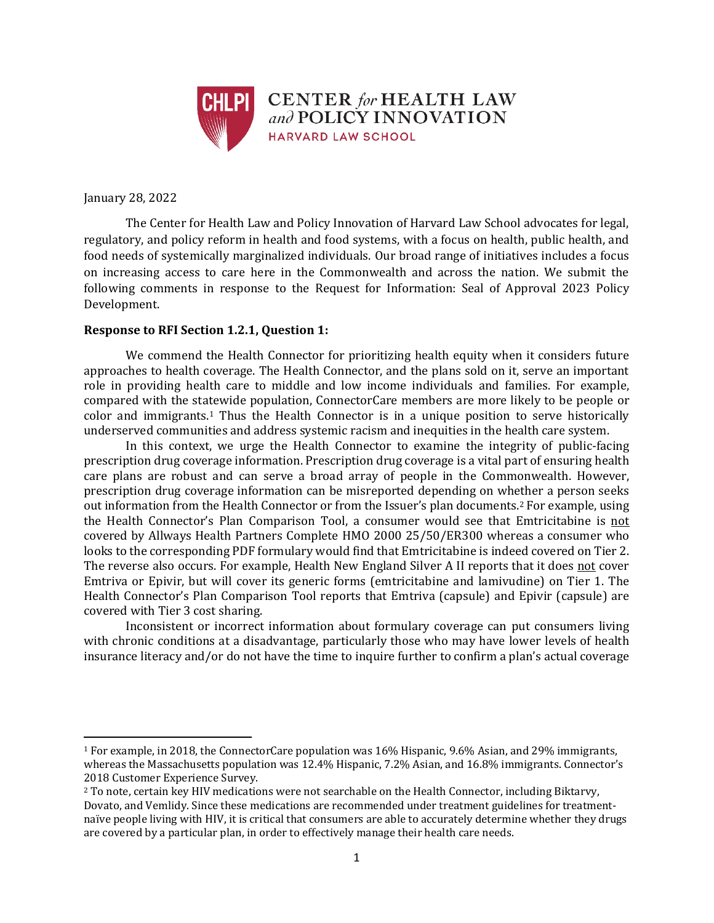

January 28, 2022

 $\overline{\phantom{a}}$ 

The Center for Health Law and Policy Innovation of Harvard Law School advocates for legal, regulatory, and policy reform in health and food systems, with a focus on health, public health, and food needs of systemically marginalized individuals. Our broad range of initiatives includes a focus on increasing access to care here in the Commonwealth and across the nation. We submit the following comments in response to the Request for Information: Seal of Approval 2023 Policy Development.

## **Response to RFI Section 1.2.1, Question 1:**

We commend the Health Connector for prioritizing health equity when it considers future approaches to health coverage. The Health Connector, and the plans sold on it, serve an important role in providing health care to middle and low income individuals and families. For example, compared with the statewide population, ConnectorCare members are more likely to be people or color and immigrants.<sup>1</sup> Thus the Health Connector is in a unique position to serve historically underserved communities and address systemic racism and inequities in the health care system.

In this context, we urge the Health Connector to examine the integrity of public-facing prescription drug coverage information. Prescription drug coverage is a vital part of ensuring health care plans are robust and can serve a broad array of people in the Commonwealth. However, prescription drug coverage information can be misreported depending on whether a person seeks out information from the Health Connector or from the Issuer's plan documents.<sup>2</sup> For example, using the Health Connector's Plan Comparison Tool, a consumer would see that Emtricitabine is not covered by Allways Health Partners Complete HMO 2000 25/50/ER300 whereas a consumer who looks to the corresponding PDF formulary would find that Emtricitabine is indeed covered on Tier 2. The reverse also occurs. For example, Health New England Silver A II reports that it does not cover Emtriva or Epivir, but will cover its generic forms (emtricitabine and lamivudine) on Tier 1. The Health Connector's Plan Comparison Tool reports that Emtriva (capsule) and Epivir (capsule) are covered with Tier 3 cost sharing.

Inconsistent or incorrect information about formulary coverage can put consumers living with chronic conditions at a disadvantage, particularly those who may have lower levels of health insurance literacy and/or do not have the time to inquire further to confirm a plan's actual coverage

<sup>1</sup> For example, in 2018, the ConnectorCare population was 16% Hispanic, 9.6% Asian, and 29% immigrants, whereas the Massachusetts population was 12.4% Hispanic, 7.2% Asian, and 16.8% immigrants. Connector's 2018 Customer Experience Survey.

<sup>2</sup> To note, certain key HIV medications were not searchable on the Health Connector, including Biktarvy, Dovato, and Vemlidy. Since these medications are recommended under treatment guidelines for treatmentnaïve people living with HIV, it is critical that consumers are able to accurately determine whether they drugs are covered by a particular plan, in order to effectively manage their health care needs.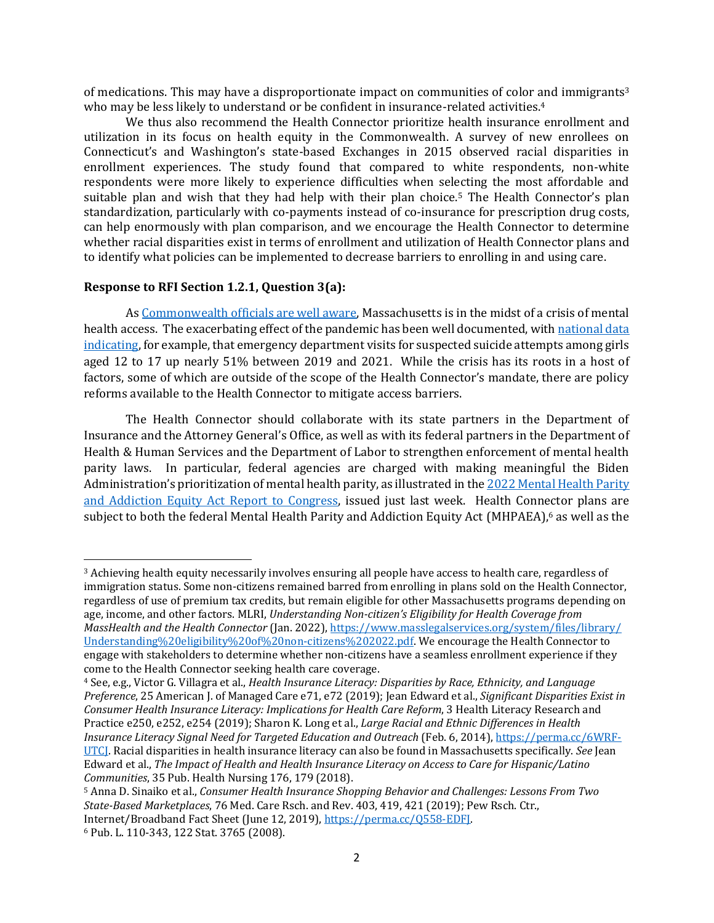of medications. This may have a disproportionate impact on communities of color and immigrants<sup>3</sup> who may be less likely to understand or be confident in insurance-related activities.<sup>4</sup>

We thus also recommend the Health Connector prioritize health insurance enrollment and utilization in its focus on health equity in the Commonwealth. A survey of new enrollees on Connecticut's and Washington's state-based Exchanges in 2015 observed racial disparities in enrollment experiences. The study found that compared to white respondents, non-white respondents were more likely to experience difficulties when selecting the most affordable and suitable plan and wish that they had help with their plan choice.<sup>5</sup> The Health Connector's plan standardization, particularly with co-payments instead of co-insurance for prescription drug costs, can help enormously with plan comparison, and we encourage the Health Connector to determine whether racial disparities exist in terms of enrollment and utilization of Health Connector plans and to identify what policies can be implemented to decrease barriers to enrolling in and using care.

## **Response to RFI Section 1.2.1, Question 3(a):**

As [Commonwealth officials are well aware,](https://www.wgbh.org/news/local-news/2022/01/24/patients-in-mental-distress-spend-days-stuck-in-mass-ers-waiting-for-inpatient-care) Massachusetts is in the midst of a crisis of mental health access. The exacerbating effect of the pandemic has been well documented, wit[h national data](https://www.cdc.gov/mmwr/volumes/70/wr/mm7024e1.htm)  [indicating,](https://www.cdc.gov/mmwr/volumes/70/wr/mm7024e1.htm) for example, that emergency department visits for suspected suicide attempts among girls aged 12 to 17 up nearly 51% between 2019 and 2021. While the crisis has its roots in a host of factors, some of which are outside of the scope of the Health Connector's mandate, there are policy reforms available to the Health Connector to mitigate access barriers.

The Health Connector should collaborate with its state partners in the Department of Insurance and the Attorney General's Office, as well as with its federal partners in the Department of Health & Human Services and the Department of Labor to strengthen enforcement of mental health parity laws. In particular, federal agencies are charged with making meaningful the Biden Administration's prioritization of mental health parity, as illustrated in the [2022 Mental Health Parity](https://www.dol.gov/sites/dolgov/files/EBSA/laws-and-regulations/laws/mental-health-parity/report-to-congress-2022-realizing-parity-reducing-stigma-and-raising-awareness.pdf)  [and Addiction Equity Act Report to Congress,](https://www.dol.gov/sites/dolgov/files/EBSA/laws-and-regulations/laws/mental-health-parity/report-to-congress-2022-realizing-parity-reducing-stigma-and-raising-awareness.pdf) issued just last week. Health Connector plans are subject to both the federal Mental Health Parity and Addiction Equity Act (MHPAEA), <sup>6</sup> as well as the

 $\overline{\phantom{a}}$ 

<sup>3</sup> Achieving health equity necessarily involves ensuring all people have access to health care, regardless of immigration status. Some non-citizens remained barred from enrolling in plans sold on the Health Connector, regardless of use of premium tax credits, but remain eligible for other Massachusetts programs depending on age, income, and other factors. MLRI, *Understanding Non-citizen's Eligibility for Health Coverage from MassHealth and the Health Connector* (Jan. 2022)[, https://www.masslegalservices.org/system/files/library/](https://www.masslegalservices.org/system/files/library/%0bUnderstanding%20eligibility%20of%20non-citizens%202022.pdf) [Understanding%20eligibility%20of%20non-citizens%202022.pdf.](https://www.masslegalservices.org/system/files/library/%0bUnderstanding%20eligibility%20of%20non-citizens%202022.pdf) We encourage the Health Connector to engage with stakeholders to determine whether non-citizens have a seamless enrollment experience if they come to the Health Connector seeking health care coverage.

<sup>4</sup> See, e.g., Victor G. Villagra et al., *Health Insurance Literacy: Disparities by Race, Ethnicity, and Language Preference*, 25 American J. of Managed Care e71, e72 (2019); Jean Edward et al., *Significant Disparities Exist in Consumer Health Insurance Literacy: Implications for Health Care Reform*, 3 Health Literacy Research and Practice e250, e252, e254 (2019); Sharon K. Long et al., *Large Racial and Ethnic Differences in Health Insurance Literacy Signal Need for Targeted Education and Outreach* (Feb. 6, 2014)[, https://perma.cc/6WRF-](https://perma.cc/6WRF-UTCJ)[UTCJ.](https://perma.cc/6WRF-UTCJ) Racial disparities in health insurance literacy can also be found in Massachusetts specifically. *See* Jean Edward et al., *The Impact of Health and Health Insurance Literacy on Access to Care for Hispanic/Latino Communities*, 35 Pub. Health Nursing 176, 179 (2018).

<sup>5</sup> Anna D. Sinaiko et al., *Consumer Health Insurance Shopping Behavior and Challenges: Lessons From Two State-Based Marketplaces*, 76 Med. Care Rsch. and Rev. 403, 419, 421 (2019); Pew Rsch. Ctr., Internet/Broadband Fact Sheet (June 12, 2019)[, https://perma.cc/Q558-EDFJ.](https://perma.cc/Q558-EDFJ) 

<sup>6</sup> Pub. L. 110-343, 122 Stat. 3765 (2008).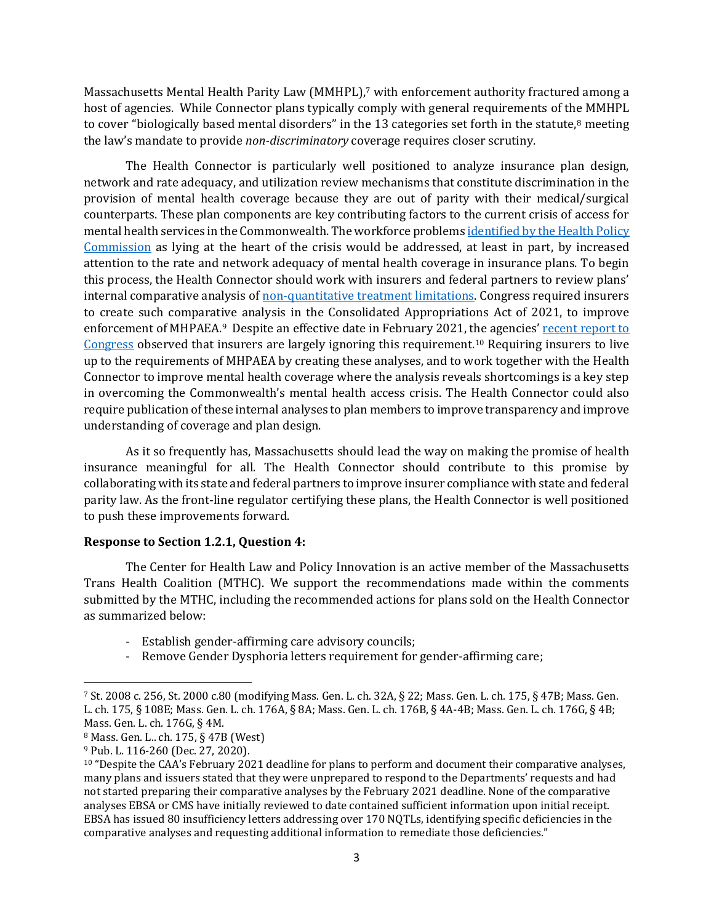Massachusetts Mental Health Parity Law (MMHPL),<sup>7</sup> with enforcement authority fractured among a host of agencies. While Connector plans typically comply with general requirements of the MMHPL to cover "biologically based mental disorders" in the 13 categories set forth in the statute,<sup>8</sup> meeting the law's mandate to provide *non-discriminatory* coverage requires closer scrutiny.

The Health Connector is particularly well positioned to analyze insurance plan design, network and rate adequacy, and utilization review mechanisms that constitute discrimination in the provision of mental health coverage because they are out of parity with their medical/surgical counterparts. These plan components are key contributing factors to the current crisis of access for mental health services in the Commonwealth. The workforce problems *identified by the Health Policy* [Commission](https://www.mass.gov/news/hpc-reflects-on-challenges-and-opportunities-in-the-health-care-system-at-annual-cost-trends-hearing) as lying at the heart of the crisis would be addressed, at least in part, by increased attention to the rate and network adequacy of mental health coverage in insurance plans. To begin this process, the Health Connector should work with insurers and federal partners to review plans' internal comparative analysis of <u>non-quantitative treatment limitations</u>. Congress required insurers to create such comparative analysis in the Consolidated Appropriations Act of 2021, to improve enforcement of MHPAEA.<sup>9</sup> Despite an effective date in February 2021, the agencies' [recent report to](https://www.dol.gov/sites/dolgov/files/EBSA/laws-and-regulations/laws/mental-health-parity/report-to-congress-2022-realizing-parity-reducing-stigma-and-raising-awareness.pdf)  [Congress](https://www.dol.gov/sites/dolgov/files/EBSA/laws-and-regulations/laws/mental-health-parity/report-to-congress-2022-realizing-parity-reducing-stigma-and-raising-awareness.pdf) observed that insurers are largely ignoring this requirement.<sup>10</sup> Requiring insurers to live up to the requirements of MHPAEA by creating these analyses, and to work together with the Health Connector to improve mental health coverage where the analysis reveals shortcomings is a key step in overcoming the Commonwealth's mental health access crisis. The Health Connector could also require publication of these internal analyses to plan members to improve transparency and improve understanding of coverage and plan design.

As it so frequently has, Massachusetts should lead the way on making the promise of health insurance meaningful for all. The Health Connector should contribute to this promise by collaborating with its state and federal partners to improve insurer compliance with state and federal parity law. As the front-line regulator certifying these plans, the Health Connector is well positioned to push these improvements forward.

## **Response to Section 1.2.1, Question 4:**

The Center for Health Law and Policy Innovation is an active member of the Massachusetts Trans Health Coalition (MTHC). We support the recommendations made within the comments submitted by the MTHC, including the recommended actions for plans sold on the Health Connector as summarized below:

- Establish gender-affirming care advisory councils;
- Remove Gender Dysphoria letters requirement for gender-affirming care;

 $\overline{\phantom{a}}$ 

<sup>7</sup> St. 2008 c. 256, St. 2000 c.80 (modifying Mass. Gen. L. ch. 32A, § 22; Mass. Gen. L. ch. 175, § 47B; Mass. Gen. L. ch. 175, § 108E; Mass. Gen. L. ch. 176A, § 8A; Mass. Gen. L. ch. 176B, § 4A-4B; Mass. Gen. L. ch. 176G, § 4B; Mass. Gen. L. ch. 176G, § 4M.

<sup>8</sup> Mass. Gen. L.. ch. 175, § 47B (West)

<sup>9</sup> Pub. L. 116-260 (Dec. 27, 2020).

 $10$  "Despite the CAA's February 2021 deadline for plans to perform and document their comparative analyses, many plans and issuers stated that they were unprepared to respond to the Departments' requests and had not started preparing their comparative analyses by the February 2021 deadline. None of the comparative analyses EBSA or CMS have initially reviewed to date contained sufficient information upon initial receipt. EBSA has issued 80 insufficiency letters addressing over 170 NQTLs, identifying specific deficiencies in the comparative analyses and requesting additional information to remediate those deficiencies."